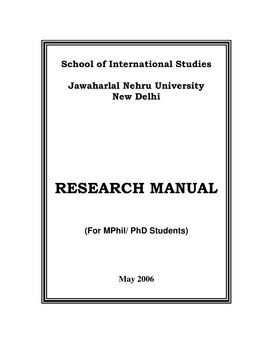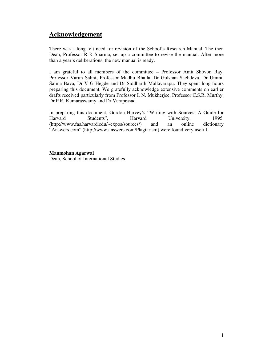# **Acknowledgement**

There was a long felt need for revision of the School's Research Manual. The then Dean, Professor R R Sharma, set up a committee to revise the manual. After more than a year's deliberations, the new manual is ready.

I am grateful to all members of the committee – Professor Amit Shovon Ray, Professor Varun Sahni, Professor Madhu Bhalla, Dr Gulshan Sachdeva, Dr Ummu Salma Bava, Dr V G Hegde and Dr Siddharth Mallavarapu. They spent long hours preparing this document. We gratefully acknowledge extensive comments on earlier drafts received particularly from Professor I. N. Mukherjee, Professor C.S.R. Murthy, Dr P.R. Kumaraswamy and Dr Varaprasad.

In preparing this document, Gordon Harvey's "Writing with Sources: A Guide for Harvard Students", Harvard University, 1995. (http://www.fas.harvard.edu/~expos/sources/) and an online dictionary "Answers.com" (http://www.answers.com/Plagiarism) were found very useful.

#### **Manmohan Agarwal**

Dean, School of International Studies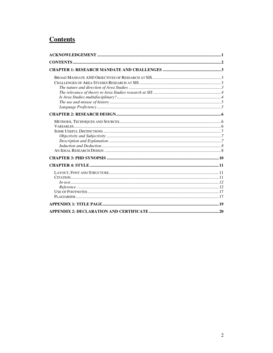# **Contents**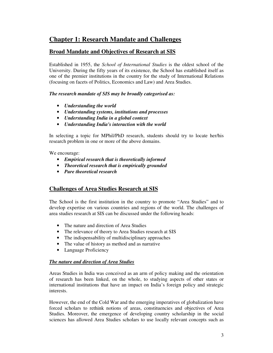# **Chapter 1: Research Mandate and Challenges**

## **Broad Mandate and Objectives of Research at SIS**

Established in 1955, the *School of International Studies* is the oldest school of the University. During the fifty years of its existence, the School has established itself as one of the premier institutions in the country for the study of International Relations (focusing on facets of Politics, Economics and Law) and Area Studies.

#### *The research mandate of SIS may be broadly categorised as:*

- *Understanding the world*
- *Understanding systems, institutions and processes*
- *Understanding India in a global context*
- *Understanding India's interaction with the world*

In selecting a topic for MPhil/PhD research, students should try to locate her/his research problem in one or more of the above domains.

We encourage:

- *Empirical research that is theoretically informed*
- *Theoretical research that is empirically grounded*
- *Pure theoretical research*

# **Challenges of Area Studies Research at SIS**

The School is the first institution in the country to promote "Area Studies" and to develop expertise on various countries and regions of the world. The challenges of area studies research at SIS can be discussed under the following heads:

- The nature and direction of Area Studies
- The relevance of theory to Area Studies research at SIS
- The indispensability of multidisciplinary approaches
- The value of history as method and as narrative
- Language Proficiency

#### *The nature and direction of Area Studies*

Areas Studies in India was conceived as an arm of policy making and the orientation of research has been linked, on the whole, to studying aspects of other states or international institutions that have an impact on India's foreign policy and strategic interests.

However, the end of the Cold War and the emerging imperatives of globalization have forced scholars to rethink notions of areas, constituencies and objectives of Area Studies. Moreover, the emergence of developing country scholarship in the social sciences has allowed Area Studies scholars to use locally relevant concepts such as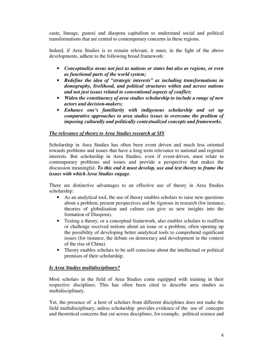caste, lineage, guanxi and diaspora capitalism to understand social and political transformations that are central to contemporary concerns in these regions.

Indeed, if Area Studies is to remain relevant, it must, in the light of the above developments, adhere to the following broad framework:

- *Conceptualize areas not just as nations or states but also as regions, or even as functional parts of the world system;*
- *Redefine the idea of "strategic interests" as including transformations in demography, livelihood, and political structures within and across nations and not just issues related to conventional aspects of conflict;*
- *Widen the constituency of area studies scholarship to include a range of new actors and decision-makers;*
- *Enhance one's familiarity with indigenous scholarship and set up comparative approaches to area studies issues to overcome the problem of imposing culturally and politically contextualized concepts and frameworks.*

#### *The relevance of theory to Area Studies research at SIS*

Scholarship in Area Studies has often been event driven and much less oriented towards problems and issues that have a long term relevance to national and regional interests. But scholarship in Area Studies, even if event-driven, must relate to contemporary problems and issues and provide a perspective that makes the discussion meaningful. *To this end it must develop, use and test theory to frame the issues with which Area Studies engage*.

There are distinctive advantages to an effective use of theory in Area Studies scholarship:

- As an analytical tool, the use of theory enables scholars to raise new questions about a problem, present perspectives and be rigorous in research (for instance, theories of globalisation and culture can give us new insights into the formation of Diaspora).
- Testing a theory, or a conceptual framework, also enables scholars to reaffirm or challenge received notions about an issue or a problem, often opening up the possibility of developing better analytical tools to comprehend significant issues (for instance, the debate on democracy and development in the context of the rise of China).
- Theory enables scholars to be self conscious about the intellectual or political premises of their scholarship.

#### *Is Area Studies multidisciplinary?*

Most scholars in the field of Area Studies come equipped with training in their respective disciplines. This has often been cited to describe area studies as multidisciplinary.

Yet, the presence of a host of scholars from different disciplines does not make the field multidisciplinary, unless scholarship provides evidence of the use of concepts and theoretical concerns that cut across disciplines, for example, political science and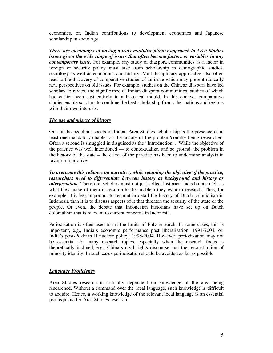economics, or, Indian contributions to development economics and Japanese scholarship in sociology.

*There are advantages of having a truly multidisciplinary approach to Area Studies issues given the wide range of issues that often become factors or variables in any contemporary issue.* For example, any study of diaspora communities as a factor in foreign or security policy must take from scholarship in demographic studies, sociology as well as economics and history. Multidisciplinary approaches also often lead to the discovery of comparative studies of an issue which may present radically new perspectives on old issues. For example, studies on the Chinese diaspora have led scholars to review the significance of Indian diaspora communities, studies of which had earlier been cast entirely in a historical mould. In this context, comparative studies enable scholars to combine the best scholarship from other nations and regions with their own interests.

#### *The use and misuse of history*

One of the peculiar aspects of Indian Area Studies scholarship is the presence of at least one mandatory chapter on the history of the problem/country being researched. Often a second is smuggled in disguised as the "Introduction". While the objective of the practice was well intentioned — to contextualize, and so ground, the problem in the history of the state – the effect of the practice has been to undermine analysis in favour of narrative.

*To overcome this reliance on narrative, while retaining the objective of the practice, researchers need to differentiate between history as background and history as interpretation*. Therefore, scholars must not just collect historical facts but also tell us what they make of them in relation to the problem they want to research. Thus, for example, it is less important to recount in detail the history of Dutch colonialism in Indonesia than it is to discuss aspects of it that threaten the security of the state or the people. Or even, the debate that Indonesian historians have set up on Dutch colonialism that is relevant to current concerns in Indonesia.

Periodisation is often used to set the limits of PhD research. In some cases, this is important, e.g., India's economic performance post liberalisation: 1991-2004, or, India's post-Pokhran II nuclear policy: 1998-2004. However, periodisation may not be essential for many research topics, especially when the research focus is theoretically inclined, e.g., China's civil rights discourse and the reconstitution of minority identity. In such cases periodisation should be avoided as far as possible.

#### *Language Proficiency*

Area Studies research is critically dependent on knowledge of the area being researched. Without a command over the local language, such knowledge is difficult to acquire. Hence, a working knowledge of the relevant local language is an essential pre-requisite for Area Studies research.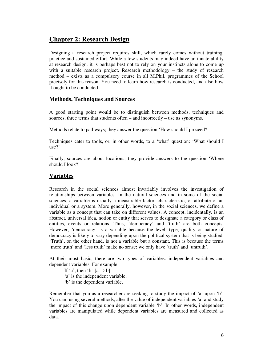# **Chapter 2: Research Design**

Designing a research project requires skill, which rarely comes without training, practice and sustained effort. While a few students may indeed have an innate ability at research design, it is perhaps best not to rely on your instincts alone to come up with a suitable research project. Research methodology – the study of research method – exists as a compulsory course in all M.Phil. programmes of the School precisely for this reason. You need to learn how research is conducted, and also how it ought to be conducted.

## **Methods, Techniques and Sources**

A good starting point would be to distinguish between methods, techniques and sources, three terms that students often – and incorrectly – use as synonyms.

Methods relate to pathways; they answer the question 'How should I proceed?'

Techniques cater to tools, or, in other words, to a 'what' question: 'What should I use?'

Finally, sources are about locations; they provide answers to the question 'Where should I look?'

## **Variables**

Research in the social sciences almost invariably involves the investigation of relationships between variables. In the natural sciences and in some of the social sciences, a variable is usually a measurable factor, characteristic, or attribute of an individual or a system. More generally, however, in the social sciences, we define a variable as a concept that can take on different values. A concept, incidentally, is an abstract, universal idea, notion or entity that serves to designate a category or class of entities, events or relations. Thus, 'democracy' and 'truth' are both concepts. However, 'democracy' is a variable because the level, type, quality or nature of democracy is likely to vary depending upon the political system that is being studied. 'Truth', on the other hand, is not a variable but a constant. This is because the terms 'more truth' and 'less truth' make no sense; we only have 'truth' and 'untruth'.

At their most basic, there are two types of variables: independent variables and dependent variables. For example:

If 'a', then 'b'  $[a \rightarrow b]$ 'a' is the independent variable; 'b' is the dependent variable.

Remember that you as a researcher are seeking to study the impact of 'a' upon 'b'. You can, using several methods, alter the value of independent variables 'a' and study the impact of this change upon dependent variable 'b'. In other words, independent variables are manipulated while dependent variables are measured and collected as data.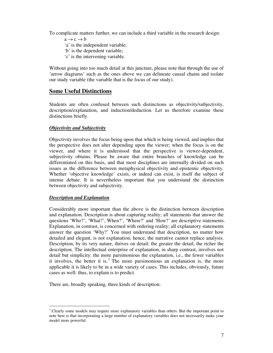To complicate matters further, we can include a third variable in the research design:

- $a \rightarrow c \rightarrow b$ 'a' is the independent variable; 'b' is the dependent variable;
- 'c' is the intervening variable.

Without going into too much detail at this juncture, please note that through the use of 'arrow diagrams' such as the ones above we can delineate causal chains and isolate our study variable (the variable that is the focus of our study).

## **Some Useful Distinctions**

Students are often confused between such distinctions as objectivity/subjectivity, description/explanation, and induction/deduction. Let us therefore examine these distinctions briefly.

#### *Objectivity and Subjectivity*

Objectivity involves the focus being upon that which is being viewed, and implies that the perspective does not alter depending upon the viewer; when the focus is on the viewer, and where it is understood that the perspective is viewer-dependent, subjectivity obtains. Please be aware that entire branches of knowledge can be differentiated on this basis, and that most disciplines are internally divided on such issues as the difference between metaphysical objectivity and epistemic objectivity. Whether 'objective knowledge' exists, or indeed can exist, is itself the subject of intense debate. It is nevertheless important that you understand the distinction between objectivity and subjectivity.

#### *Description and Explanation*

Considerably more important than the above is the distinction between description and explanation. Description is about capturing reality; all statements that answer the questions 'Who?', 'What?', When?', 'Where?' and 'How?' are descriptive statements. Explanation, in contrast, is concerned with ordering reality; all explanatory statements answer the question 'Why?' You must understand that description, no matter how detailed and elegant, is not explanation; hence, the narrative cannot replace analysis. Description, by its very nature, thrives on detail: the greater the detail, the richer the description. The intellectual enterprise of explanation, in sharp contrast, involves not detail but simplicity: the more parsimonious the explanation, i.e., the fewer variables it involves, the better it is.<sup>1</sup> The more parsimonious an explanation is, the more applicable it is likely to be in a wide variety of cases. This includes, obviously, future cases as well: thus, to explain is to predict.

There are, broadly speaking, three kinds of description:

<sup>&</sup>lt;sup>1</sup> Clearly some models may require more explanatory variables than others. But the important point to note here is that incorporating a large number of explanatory variables does not necessarily make your model more powerful.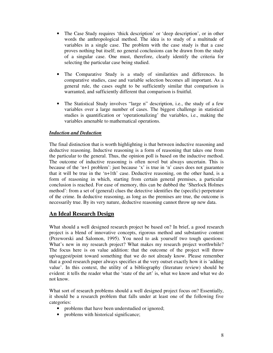- The Case Study requires 'thick description' or 'deep description', or in other words the anthropological method. The idea is to study of a multitude of variables in a single case. The problem with the case study is that a case proves nothing but itself; no general conclusions can be drawn from the study of a singular case. One must, therefore, clearly identify the criteria for selecting the particular case being studied.
- The Comparative Study is a study of similarities and differences. In comparative studies, case and variable selection becomes all important. As a general rule, the cases ought to be sufficiently similar that comparison is warranted, and sufficiently different that comparison is fruitful.
- The Statistical Study involves "large n" description, i.e., the study of a few variables over a large number of cases. The biggest challenge in statistical studies is quantification or 'operationalizing' the variables, i.e., making the variables amenable to mathematical operations.

#### *Induction and Deduction*

The final distinction that is worth highlighting is that between inductive reasoning and deductive reasoning. Inductive reasoning is a form of reasoning that takes one from the particular to the general. Thus, the opinion poll is based on the inductive method. The outcome of inductive reasoning is often novel but always uncertain. This is because of the 'n+1 problem': just because 'x' is true in 'n' cases does not guarantee that it will be true in the 'n+1th' case. Deductive reasoning, on the other hand, is a form of reasoning in which, starting from certain general premises, a particular conclusion is reached. For ease of memory, this can be dubbed the 'Sherlock Holmes method': from a set of (general) clues the detective identifies the (specific) perpetrator of the crime. In deductive reasoning, as long as the premises are true, the outcome is necessarily true. By its very nature, deductive reasoning cannot throw up new data.

## **An Ideal Research Design**

What should a well designed research project be based on? In brief, a good research project is a blend of innovative concepts, rigorous method and substantive content (Przeworski and Salomon, 1995). You need to ask yourself two tough questions: What's new in my research project? What makes my research project worthwhile? The focus here is on value addition: that the outcome of the project will throw up/suggest/point toward something that we do not already know. Please remember that a good research paper always specifies at the very outset exactly how it is 'adding value'. In this context, the utility of a bibliography (literature review) should be evident: it tells the reader what the 'state of the art' is, what we know and what we do not know.

What sort of research problems should a well designed project focus on? Essentially, it should be a research problem that falls under at least one of the following five categories:

- problems that have been understudied or ignored;
- problems with historical significance;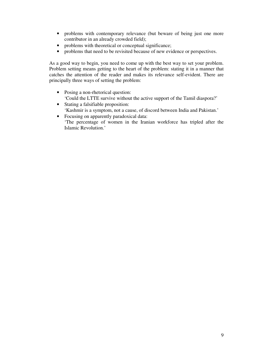- problems with contemporary relevance (but beware of being just one more contributor in an already crowded field);
- problems with theoretical or conceptual significance;
- problems that need to be revisited because of new evidence or perspectives.

As a good way to begin, you need to come up with the best way to set your problem. Problem setting means getting to the heart of the problem: stating it in a manner that catches the attention of the reader and makes its relevance self-evident. There are principally three ways of setting the problem:

- Posing a non-rhetorical question: 'Could the LTTE survive without the active support of the Tamil diaspora?'
- Stating a falsifiable proposition: 'Kashmir is a symptom, not a cause, of discord between India and Pakistan.'
- Focusing on apparently paradoxical data: 'The percentage of women in the Iranian workforce has tripled after the Islamic Revolution.'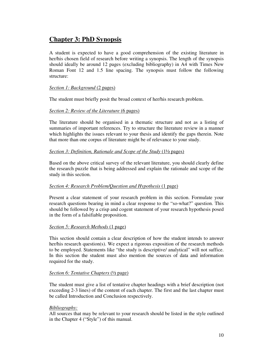# **Chapter 3: PhD Synopsis**

A student is expected to have a good comprehension of the existing literature in her/his chosen field of research before writing a synopsis. The length of the synopsis should ideally be around 12 pages (excluding bibliography) in A4 with Times New Roman Font 12 and 1.5 line spacing. The synopsis must follow the following structure:

#### *Section 1: Background* (2 pages)

The student must briefly posit the broad context of her/his research problem.

#### *Section 2: Review of the Literature* (6 pages)

The literature should be organised in a thematic structure and not as a listing of summaries of important references. Try to structure the literature review in a manner which highlights the issues relevant to your thesis and identify the gaps therein. Note that more than one corpus of literature might be of relevance to your study.

#### *Section 3: Definition, Rationale and Scope of the Study* (1½ pages)

Based on the above critical survey of the relevant literature, you should clearly define the research puzzle that is being addressed and explain the rationale and scope of the study in this section.

#### *Section 4: Research Problem/Question and Hypothesis* (1 page)

Present a clear statement of your research problem in this section. Formulate your research questions bearing in mind a clear response to the "so-what?" question. This should be followed by a crisp and cogent statement of your research hypothesis posed in the form of a falsifiable proposition.

#### *Section 5: Research Methods* (1 page)

This section should contain a clear description of how the student intends to answer her/his research question(s). We expect a rigorous exposition of the research methods to be employed. Statements like "the study is descriptive/ analytical" will not suffice. In this section the student must also mention the sources of data and information required for the study.

#### *Section 6: Tentative Chapters* (½ page)

The student must give a list of tentative chapter headings with a brief description (not exceeding 2-3 lines) of the content of each chapter. The first and the last chapter must be called Introduction and Conclusion respectively.

#### *Bibliography:*

All sources that may be relevant to your research should be listed in the style outlined in the Chapter 4 ("Style") of this manual.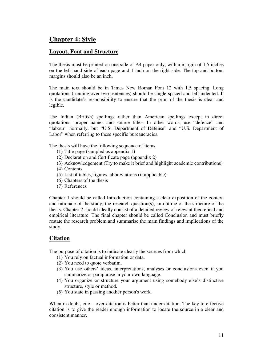# **Chapter 4: Style**

### **Layout, Font and Structure**

The thesis must be printed on one side of A4 paper only, with a margin of 1.5 inches on the left-hand side of each page and 1 inch on the right side. The top and bottom margins should also be an inch.

The main text should be in Times New Roman Font 12 with 1.5 spacing. Long quotations (running over two sentences) should be single spaced and left indented. It is the candidate's responsibility to ensure that the print of the thesis is clear and legible.

Use Indian (British) spellings rather than American spellings except in direct quotations, proper names and source titles. In other words, use "defence" and "labour" normally, but "U.S. Department of Defense" and "U.S. Department of Labor" when referring to these specific bureaucracies.

The thesis will have the following sequence of items

- (1) Title page (sampled as appendix 1)
- (2) Declaration and Certificate page (appendix 2)
- (3) Acknowledgement (Try to make it brief and highlight academic contributions)
- (4) Contents
- (5) List of tables, figures, abbreviations (if applicable)
- (6) Chapters of the thesis
- (7) References

Chapter 1 should be called Introduction containing a clear exposition of the context and rationale of the study, the research question(s), an outline of the structure of the thesis. Chapter 2 should ideally consist of a detailed review of relevant theoretical and empirical literature. The final chapter should be called Conclusion and must briefly restate the research problem and summarise the main findings and implications of the study.

## **Citation**

The purpose of citation is to indicate clearly the sources from which

- (1) You rely on factual information or data.
- (2) You need to quote verbatim.
- (3) You use others' ideas, interpretations, analyses or conclusions even if you summarize or paraphrase in your own language.
- (4) You organize or structure your argument using somebody else's distinctive structure, style or method.
- (5) You state in passing another person's work.

When in doubt, cite – over-citation is better than under-citation. The key to effective citation is to give the reader enough information to locate the source in a clear and consistent manner.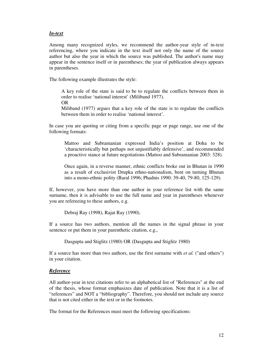#### *In-text*

Among many recognized styles, we recommend the author-year style of in-text referencing, where you indicate in the text itself not only the name of the source author but also the year in which the source was published. The author's name may appear in the sentence itself or in parentheses; the year of publication always appears in parentheses.

The following example illustrates the style:

A key role of the state is said to be to regulate the conflicts between them in order to realise 'national interest' (Miliband 1977). OR

Miliband (1977) argues that a key role of the state is to regulate the conflicts between them in order to realise 'national interest'.

In case you are quoting or citing from a specific page or page range, use one of the following formats:

Mattoo and Subramanian expressed India's position at Doha to be 'characteristically but perhaps not unjustifiably defensive', and recommended a proactive stance at future negotiations (Mattoo and Subramanian 2003: 328).

Once again, in a reverse manner, ethnic conflicts broke out in Bhutan in 1990 as a result of exclusivist Drupka ethno-nationalism, bent on turning Bhutan into a mono-ethnic polity (Baral 1996; Phadnis 1990: 39-40, 79-80, 125-129).

If, however, you have more than one author in your reference list with the same surname, then it is advisable to use the full name and year in parentheses whenever you are refereeing to these authors, e.g.

Debraj Ray (1998), Rajat Ray (1990).

If a source has two authors, mention all the names in the signal phrase in your sentence or put them in your parenthetic citation, e.g.,

Dasgupta and Stiglitz (1980) OR (Dasgupta and Stiglitz 1980)

If a source has more than two authors, use the first surname with *et al.* ("and others") in your citation.

#### *Reference*

All author-year in text citations refer to an alphabetical list of "References" at the end of the thesis, whose format emphasizes date of publication. Note that it is a list of "references" and NOT a "bibliography". Therefore, you should not include any source that is not cited either in the text or in the footnotes.

The format for the References must meet the following specifications: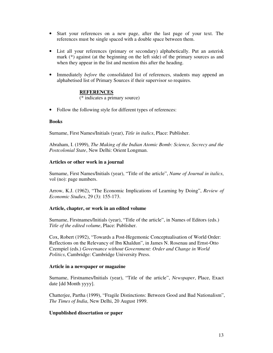- Start your references on a new page, after the last page of your text. The references must be single spaced with a double space between them.
- List all your references (primary or secondary) alphabetically. Put an asterisk mark (\*) against (at the beginning on the left side) of the primary sources as and when they appear in the list and mention this after the heading.
- Immediately *before* the consolidated list of references, students may append an alphabetised list of Primary Sources if their supervisor so requires.

#### **REFERENCES**

(\* indicates a primary source)

• Follow the following style for different types of references:

#### **Books**

Surname, First Names/Initials (year), *Title in italics*, Place: Publisher.

Abraham, I. (1999), *The Making of the Indian Atomic Bomb: Science, Secrecy and the Postcolonial State*, New Delhi: Orient Longman.

#### **Articles or other work in a journal**

Surname, First Names/Initials (year), "Title of the article", *Name of Journal in italics*, vol (no): page numbers.

Arrow, K.J. (1962), "The Economic Implications of Learning by Doing", *Review of Economic Studies*, 29 (3): 155-173.

#### **Article, chapter, or work in an edited volume**

Surname, Firstnames/Initials (year), "Title of the article", in Names of Editors (eds.) *Title of the edited volume*, Place: Publisher.

Cox, Robert (1992), "Towards a Post-Hegemonic Conceptualisation of World Order: Reflections on the Relevancy of Ibn Khaldun", in James N. Rosenau and Ernst-Otto Czempiel (eds.) *Governance without Government: Order and Change in World Politics*, Cambridge: Cambridge University Press.

#### **Article in a newspaper or magazine**

Surname, Firstnames/Initials (year), "Title of the article", *Newspaper*, Place, Exact date [dd Month yyyy].

Chatterjee, Partha (1999), "Fragile Distinctions: Between Good and Bad Nationalism", *The Times of India*, New Delhi, 20 August 1999.

#### **Unpublished dissertation or paper**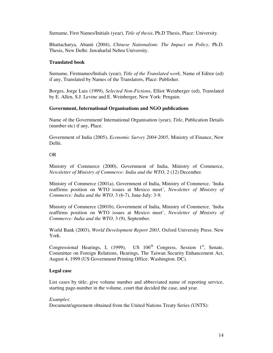Surname, First Names/Initials (year), *Title of thesis*, Ph.D Thesis, Place: University.

Bhattacharya, Abanti (2004), *Chinese Nationalism: The Impact on Policy*, Ph.D. Thesis, New Delhi: Jawaharlal Nehru University.

#### **Translated book**

Surname, Firstnames/Initials (year), *Title of the Translated work,* Name of Editor (ed) if any, Translated by Names of the Translators, Place: Publisher.

Borges, Jorge Luis (1999), *Selected Non-Fictions*, Elliot Weinberger (ed), Translated by E. Allen, S.J. Levine and E. Weinberger, New York: Penguin.

#### **Government, International Organisations and NGO publications**

Name of the Government/ International Organisation (year), *Title*, Publication Details (number etc) if any, Place.

Government of India (2005), *Economic Survey 2004-2005*, Ministry of Finance, New Delhi.

OR

Ministry of Commerce (2000), Government of India, Ministry of Commerce, *Newsletter of Ministry of Commerce: India and the WTO*, 2 (12) December.

Ministry of Commerce (2001a), Government of India, Ministry of Commerce, 'India reaffirms position on WTO issues at Mexico meet', *Newsletter of Ministry of Commerce: India and the WTO*, 3 (6-7), June-July: 3-9.

Ministry of Commerce (2001b), Government of India, Ministry of Commerce, 'India reaffirms position on WTO issues at Mexico meet', *Newsletter of Ministry of Commerce: India and the WTO*, 3 (9), September.

World Bank (2003), *World Development Report 2003*, Oxford University Press: New York.

Congressional Hearings, I, (1999), US  $106<sup>th</sup>$  Congress, Session 1<sup>st</sup>, Senate, Committee on Foreign Relations, Hearings, The Taiwan Security Enhancement Act, August 4, 1999 (US Government Printing Office: Washington. DC).

#### **Legal case**

List cases by title; give volume number and abbreviated name of reporting service, starting page-number in the volume, court that decided the case, and year.

#### *Examples*:

Document/agreement obtained from the United Nations Treaty Series (UNTS):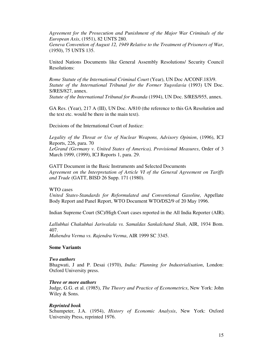*Agreement for the Prosecution and Punishment of the Major War Criminals of the European Axis*, (1951), 82 UNTS 280.

*Geneva Convention of August 12, 1949 Relative to the Treatment of Prisoners of War*, (1950), 75 UNTS 135.

United Nations Documents like General Assembly Resolutions/ Security Council Resolutions:

*Rome Statute of the International Criminal Court* (Year), UN Doc A/CONF.183/9. *Statute of the International Tribunal for the Former Yugoslavia* (1993) UN Doc. S/RES/827, annex.

*Statute of the International Tribunal for Rwanda* (1994), UN Doc. S/RES/955, annex.

GA Res. (Year), 217 A (III), UN Doc. A/810 (the reference to this GA Resolution and the text etc. would be there in the main text).

Decisions of the International Court of Justice:

*Legality of the Threat or Use of Nuclear Weapons, Advisory Opinion*, (1996), ICJ Reports, 226, para. 70 *LeGrand (Germany v. United States of America), Provisional Measures*, Order of 3 March 1999, (1999), ICJ Reports 1, para. 29.

GATT Document in the Basic Instruments and Selected Documents *Agreement on the Interpretation of Article VI of the General Agreement on Tariffs and Trade* (GATT, BISD 26 Supp. 171 (1980).

WTO cases

*United States-Standards for Reformulated and Conventional Gasoline,* Appellate Body Report and Panel Report, WTO Document WTO/DS2/9 of 20 May 1996.

Indian Supreme Court (SC)/High Court cases reported in the All India Reporter (AIR).

*Lallubhai Chakubhai Jariwalala vs. Samaldas Sankalchand Shah*, AIR, 1934 Bom. 407. *Mahendra Verma vs. Rajendra Verma*, AIR 1999 SC 3345.

#### **Some Variants**

#### *Two authors*

Bhagwati, J and P. Desai (1970), *India: Planning for Industrialisation*, London: Oxford University press.

#### *Three or more authors*

Judge, G.G. et al. (1985), *The Theory and Practice of Econometrics*, New York: John Wiley & Sons.

#### *Reprinted book*

Schumpeter, J.A. (1954), *History of Economic Analysis*, New York: Oxford University Press, reprinted 1976.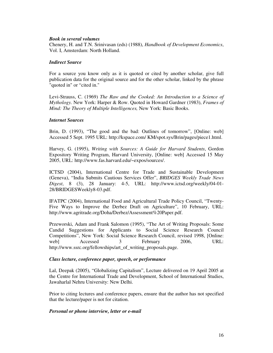#### *Book in several volumes*

Chenery, H. and T.N. Srinivasan (eds) (1988), *Handbook of Development Economics*, Vol. I, Amsterdam: North Holland.

#### *Indirect Source*

For a source you know only as it is quoted or cited by another scholar, give full publication data for the original source and for the other scholar, linked by the phrase "quoted in" or "cited in."

Levi-Strauss, C. (1969) *The Raw and the Cooked: An Introduction to a Science of Mythology.* New York: Harper & Row. Quoted in Howard Gardner (1983), *Frames of Mind: The Theory of Multiple Intelligences,* New York: Basic Books.

#### *Internet Sources*

Brin, D. (1993), "The good and the bad: Outlines of tomorrow", [Online: web] Accessed 5 Sept. 1995 URL: http://kspace.com/ KM/spot.sys/Brin/pages/piece1.html.

Harvey, G. (1995), *Writing with Sources: A Guide for Harvard Students*, Gordon Expository Writing Program, Harvard University, [Online: web] Accessed 15 May 2005, URL: http://www.fas.harvard.edu/~expos/sources/.

ICTSD (2004), International Centre for Trade and Sustainable Development (Geneva), "India Submits Cautious Services Offer", *BRIDGES Weekly Trade News Digest*, 8 (3), 28 January: 4-5, URL: http://www.ictsd.org/weekly/04-01- 28/BRIDGESWeekly8-03.pdf.

IFATPC (2004), International Food and Agricultural Trade Policy Council, "Twenty-Five Ways to Improve the Derbez Draft on Agriculture", 10 February, URL: http://www.agritrade.org/Doha/Derbez/Assessment%20Paper.pdf.

Przeworski, Adam and Frank Salomon (1995), "The Art of Writing Proposals: Some Candid Suggestions for Applicants to Social Science Research Council Competitions", New York: Social Science Research Council, revised 1998, [Online: web] Accessed 3 February 2006, URL: http://www.ssrc.org/fellowships/art\_of\_writing\_proposals.page.

#### *Class lecture, conference paper, speech, or performance*

Lal, Deepak (2005), "Globalizing Capitalism", Lecture delivered on 19 April 2005 at the Centre for International Trade and Development, School of International Studies, Jawaharlal Nehru University: New Delhi.

Prior to citing lectures and conference papers, ensure that the author has not specified that the lecture/paper is not for citation.

#### *Personal or phone interview, letter or e-mail*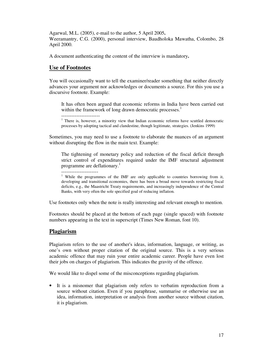Agarwal, M.L. (2005), e-mail to the author, 5 April 2005**.** Weeramantry, C.G. (2000), personal interview, Baudholoka Mawatha, Colombo, 28 April 2000.

A document authenticating the content of the interview is mandatory**.**

### **Use of Footnotes**

You will occasionally want to tell the examiner/reader something that neither directly advances your argument nor acknowledges or documents a source. For this you use a discursive footnote. Example:

It has often been argued that economic reforms in India have been carried out within the framework of long drawn democratic processes.<sup>1</sup>

<sup>1</sup> There is, however, a minority view that Indian economic reforms have scuttled democratic processes by adopting tactical and clandestine, though legitimate, strategies. (Jenkins 1999)

Sometimes, you may need to use a footnote to elaborate the nuances of an argument without disrupting the flow in the main text. Example:

The tightening of monetary policy and reduction of the fiscal deficit through strict control of expenditures required under the IMF structural adjustment programme are deflationary.<sup>1</sup>

----------------------

-----------------------

<sup>1</sup> While the programmes of the IMF are only applicable to countries borrowing from it, developing and transitional economies, there has been a broad move towards restricting fiscal deficits, e.g., the Maastricht Treaty requirements, and increasingly independence of the Central Banks, with very often the sole specified goal of reducing inflation.

Use footnotes only when the note is really interesting and relevant enough to mention.

Footnotes should be placed at the bottom of each page (single spaced) with footnote numbers appearing in the text in superscript (Times New Roman, font 10).

#### **Plagiarism**

Plagiarism refers to the use of another's ideas, information, language, or writing, as one's own without proper citation of the original source. This is a very serious academic offence that may ruin your entire academic career. People have even lost their jobs on charges of plagiarism. This indicates the gravity of the offence.

We would like to dispel some of the misconceptions regarding plagiarism.

• It is a misnomer that plagiarism only refers to verbatim reproduction from a source without citation. Even if you paraphrase, summarise or otherwise use an idea, information, interpretation or analysis from another source without citation, it is plagiarism.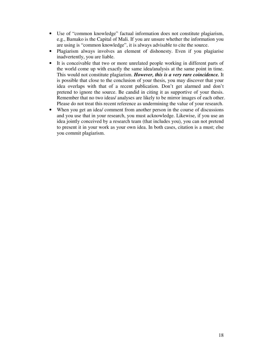- Use of "common knowledge" factual information does not constitute plagiarism, e.g., Bamako is the Capital of Mali. If you are unsure whether the information you are using is "common knowledge", it is always advisable to cite the source.
- Plagiarism always involves an element of dishonesty. Even if you plagiarise inadvertently, you are liable.
- It is conceivable that two or more unrelated people working in different parts of the world come up with exactly the same idea/analysis at the same point in time. This would not constitute plagiarism. *However, this is a very rare coincidence.* It is possible that close to the conclusion of your thesis, you may discover that your idea overlaps with that of a recent publication. Don't get alarmed and don't pretend to ignore the source. Be candid in citing it as supportive of your thesis. Remember that no two ideas/ analyses are likely to be mirror images of each other. Please do not treat this recent reference as undermining the value of your research.
- When you get an idea/ comment from another person in the course of discussions and you use that in your research, you must acknowledge. Likewise, if you use an idea jointly conceived by a research team (that includes you), you can not pretend to present it in your work as your own idea. In both cases, citation is a must; else you commit plagiarism.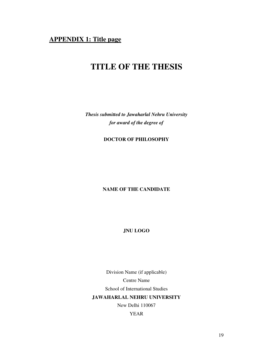# **APPENDIX 1: Title page**

# **TITLE OF THE THESIS**

*Thesis submitted to Jawaharlal Nehru University for award of the degree of*

**DOCTOR OF PHILOSOPHY**

## **NAME OF THE CANDIDATE**

**JNU LOGO**

Division Name (if applicable) Centre Name School of International Studies **JAWAHARLAL NEHRU UNIVERSITY** New Delhi 110067

YEAR